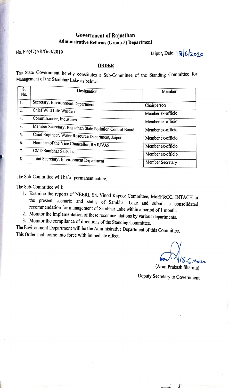## Government of Rajasthan Administrative Reforms (Group-3) Department

## No. F.6(47)AR/Gr.3/2019 **Jaipur, Date: 1962020**

## **ORDER**

The State Government hereby constitutes a Sub-Committee of the Standing Committee for Management of the Sambhar Lake as below:

| S.<br>No.      | Designation                                               | Member            |
|----------------|-----------------------------------------------------------|-------------------|
| $\mathbf{1}$ . | Secretary, Environment Department                         | Chairperson       |
| 2.             | Chief Wild Life Warden                                    | Member ex-officio |
| 3.             | Commissioner, Industries                                  | Member ex-officio |
| 4.             | Member Secretary, Rajasthan State Pollution Control Board | Member ex-officio |
| 5.             | Chief Engineer, Water Resource Department, Jaipur         | Member ex-officio |
| 6.             | Nominee of the Vice Chancellor, RAJUVAS                   | Member ex-officio |
| 7.             | CMD Sambhar Salts Ltd.                                    | Member ex-officio |
| 8.             | Joint Secretary, Environment Department                   | Member Secretary  |

The Sub-Committee will be of permanent nature.

The Sub-Committee will:

- 1. Examine the reports of NEERI, Sh. Vinod Kapoor Committee, MoEF&CC, INTACH in the present scenario and status of Sambhar Lake and submit a consolidated recommendation for management of Sambhar Lake within a period of 1 month.
- 2. Monitor the implementation of these recommendations by various departments.
- 3. Monitor the compliance of directions of the Standing Committee.

The Environment Department will be the Administrative Department of this Committee. This Order shall come into force with immediate effect.

*cb111l,.-,.,,,..* 

(Arun Prakash Sharma)

 $\overline{A}$ 

Deputy Secretary to Government